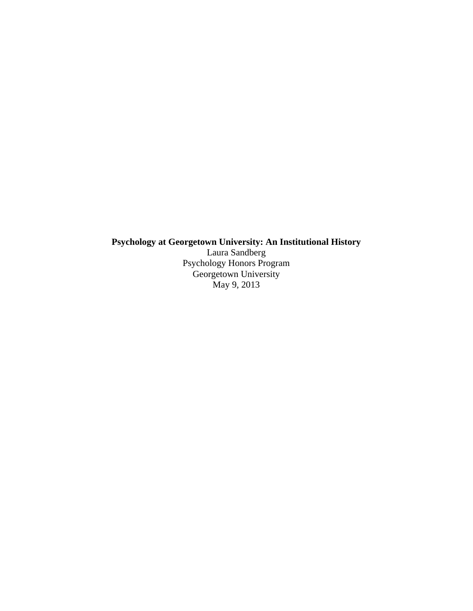## **Psychology at Georgetown University: An Institutional History**

Laura Sandberg Psychology Honors Program Georgetown University May 9, 2013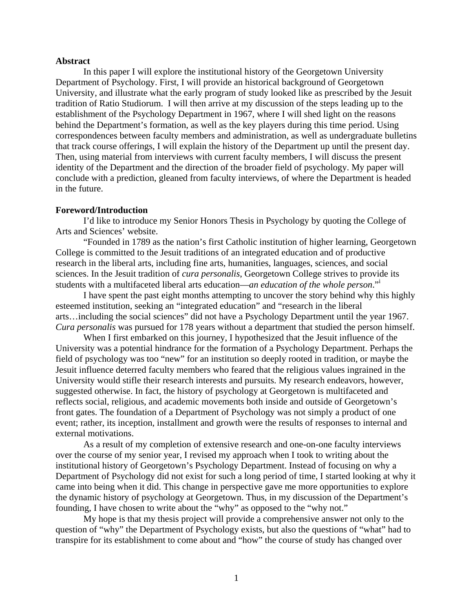### **Abstract**

In this paper I will explore the institutional history of the Georgetown University Department of Psychology. First, I will provide an historical background of Georgetown University, and illustrate what the early program of study looked like as prescribed by the Jesuit tradition of Ratio Studiorum. I will then arrive at my discussion of the steps leading up to the establishment of the Psychology Department in 1967, where I will shed light on the reasons behind the Department's formation, as well as the key players during this time period. Using correspondences between faculty members and administration, as well as undergraduate bulletins that track course offerings, I will explain the history of the Department up until the present day. Then, using material from interviews with current faculty members, I will discuss the present identity of the Department and the direction of the broader field of psychology. My paper will conclude with a prediction, gleaned from faculty interviews, of where the Department is headed in the future.

### **Foreword/Introduction**

I'd like to introduce my Senior Honors Thesis in Psychology by quoting the College of Arts and Sciences' website.

"Founded in 1789 as the nation's first Catholic institution of higher learning, Georgetown College is committed to the Jesuit traditions of an integrated education and of productive research in the liberal arts, including fine arts, humanities, languages, sciences, and social sciences. In the Jesuit tradition of *cura personalis*, Georgetown College strives to provide its students with a multifaceted liberal arts education—*an education of the whole person*."<sup>i</sup>

I have spent the past eight months attempting to uncover the story behind why this highly esteemed institution, seeking an "integrated education" and "research in the liberal arts…including the social sciences" did not have a Psychology Department until the year 1967. *Cura personalis* was pursued for 178 years without a department that studied the person himself.

When I first embarked on this journey, I hypothesized that the Jesuit influence of the University was a potential hindrance for the formation of a Psychology Department. Perhaps the field of psychology was too "new" for an institution so deeply rooted in tradition, or maybe the Jesuit influence deterred faculty members who feared that the religious values ingrained in the University would stifle their research interests and pursuits. My research endeavors, however, suggested otherwise. In fact, the history of psychology at Georgetown is multifaceted and reflects social, religious, and academic movements both inside and outside of Georgetown's front gates. The foundation of a Department of Psychology was not simply a product of one event; rather, its inception, installment and growth were the results of responses to internal and external motivations.

As a result of my completion of extensive research and one-on-one faculty interviews over the course of my senior year, I revised my approach when I took to writing about the institutional history of Georgetown's Psychology Department. Instead of focusing on why a Department of Psychology did not exist for such a long period of time, I started looking at why it came into being when it did. This change in perspective gave me more opportunities to explore the dynamic history of psychology at Georgetown. Thus, in my discussion of the Department's founding, I have chosen to write about the "why" as opposed to the "why not."

My hope is that my thesis project will provide a comprehensive answer not only to the question of "why" the Department of Psychology exists, but also the questions of "what" had to transpire for its establishment to come about and "how" the course of study has changed over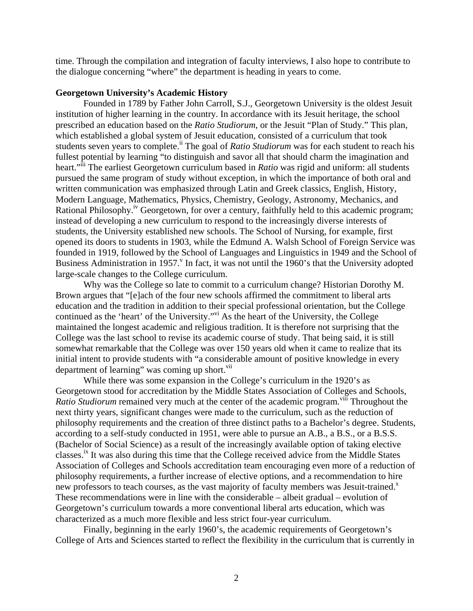time. Through the compilation and integration of faculty interviews, I also hope to contribute to the dialogue concerning "where" the department is heading in years to come.

# **Georgetown University's Academic History**

Founded in 1789 by Father John Carroll, S.J., Georgetown University is the oldest Jesuit institution of higher learning in the country. In accordance with its Jesuit heritage, the school prescribed an education based on the *Ratio Studiorum*, or the Jesuit "Plan of Study." This plan, which established a global system of Jesuit education, consisted of a curriculum that took students seven years to complete.<sup>ii</sup> The goal of *Ratio Studiorum* was for each student to reach his fullest potential by learning "to distinguish and savor all that should charm the imagination and heart.<sup>"iii</sup> The earliest Georgetown curriculum based in *Ratio* was rigid and uniform: all students pursued the same program of study without exception, in which the importance of both oral and written communication was emphasized through Latin and Greek classics, English, History, Modern Language, Mathematics, Physics, Chemistry, Geology, Astronomy, Mechanics, and Rational Philosophy.<sup>iv</sup> Georgetown, for over a century, faithfully held to this academic program; instead of developing a new curriculum to respond to the increasingly diverse interests of students, the University established new schools. The School of Nursing, for example, first opened its doors to students in 1903, while the Edmund A. Walsh School of Foreign Service was founded in 1919, followed by the School of Languages and Linguistics in 1949 and the School of Business Administration in 1957.<sup>V</sup> In fact, it was not until the 1960's that the University adopted large-scale changes to the College curriculum.

Why was the College so late to commit to a curriculum change? Historian Dorothy M. Brown argues that "[e]ach of the four new schools affirmed the commitment to liberal arts education and the tradition in addition to their special professional orientation, but the College continued as the 'heart' of the University."vi As the heart of the University, the College maintained the longest academic and religious tradition. It is therefore not surprising that the College was the last school to revise its academic course of study. That being said, it is still somewhat remarkable that the College was over 150 years old when it came to realize that its initial intent to provide students with "a considerable amount of positive knowledge in every department of learning" was coming up short. $\overline{v}$ <sup>ii</sup>

While there was some expansion in the College's curriculum in the 1920's as Georgetown stood for accreditation by the Middle States Association of Colleges and Schools, *Ratio Studiorum* remained very much at the center of the academic program.<sup>viii</sup> Throughout the next thirty years, significant changes were made to the curriculum, such as the reduction of philosophy requirements and the creation of three distinct paths to a Bachelor's degree. Students, according to a self-study conducted in 1951, were able to pursue an A.B., a B.S., or a B.S.S. (Bachelor of Social Science) as a result of the increasingly available option of taking elective classes.<sup>ix</sup> It was also during this time that the College received advice from the Middle States Association of Colleges and Schools accreditation team encouraging even more of a reduction of philosophy requirements, a further increase of elective options, and a recommendation to hire new professors to teach courses, as the vast majority of faculty members was Jesuit-trained.<sup>x</sup> These recommendations were in line with the considerable – albeit gradual – evolution of Georgetown's curriculum towards a more conventional liberal arts education, which was characterized as a much more flexible and less strict four-year curriculum.

Finally, beginning in the early 1960's, the academic requirements of Georgetown's College of Arts and Sciences started to reflect the flexibility in the curriculum that is currently in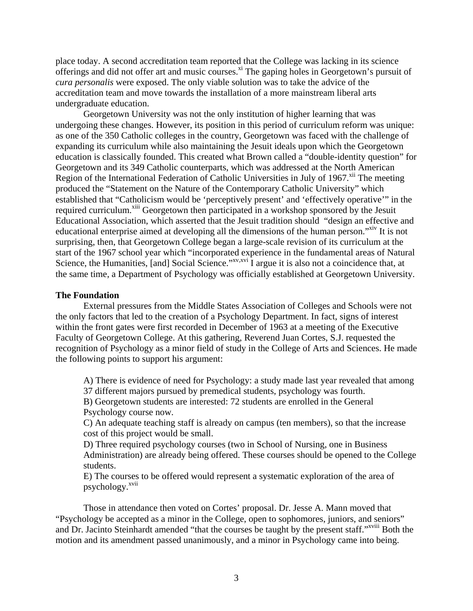place today. A second accreditation team reported that the College was lacking in its science offerings and did not offer art and music courses.<sup>xi</sup> The gaping holes in Georgetown's pursuit of *cura personalis* were exposed. The only viable solution was to take the advice of the accreditation team and move towards the installation of a more mainstream liberal arts undergraduate education.

Georgetown University was not the only institution of higher learning that was undergoing these changes. However, its position in this period of curriculum reform was unique: as one of the 350 Catholic colleges in the country, Georgetown was faced with the challenge of expanding its curriculum while also maintaining the Jesuit ideals upon which the Georgetown education is classically founded. This created what Brown called a "double-identity question" for Georgetown and its 349 Catholic counterparts, which was addressed at the North American Region of the International Federation of Catholic Universities in July of 1967.<sup>xii</sup> The meeting produced the "Statement on the Nature of the Contemporary Catholic University" which established that "Catholicism would be 'perceptively present' and 'effectively operative'" in the required curriculum.<sup>xiii</sup> Georgetown then participated in a workshop sponsored by the Jesuit Educational Association, which asserted that the Jesuit tradition should "design an effective and educational enterprise aimed at developing all the dimensions of the human person."<sup>xiv</sup> It is not surprising, then, that Georgetown College began a large-scale revision of its curriculum at the start of the 1967 school year which "incorporated experience in the fundamental areas of Natural Science, the Humanities, [and] Social Science."<sup>xv,xvi</sup> I argue it is also not a coincidence that, at the same time, a Department of Psychology was officially established at Georgetown University.

#### **The Foundation**

External pressures from the Middle States Association of Colleges and Schools were not the only factors that led to the creation of a Psychology Department. In fact, signs of interest within the front gates were first recorded in December of 1963 at a meeting of the Executive Faculty of Georgetown College. At this gathering, Reverend Juan Cortes, S.J. requested the recognition of Psychology as a minor field of study in the College of Arts and Sciences. He made the following points to support his argument:

A) There is evidence of need for Psychology: a study made last year revealed that among 37 different majors pursued by premedical students, psychology was fourth.

B) Georgetown students are interested: 72 students are enrolled in the General Psychology course now.

C) An adequate teaching staff is already on campus (ten members), so that the increase cost of this project would be small.

D) Three required psychology courses (two in School of Nursing, one in Business Administration) are already being offered. These courses should be opened to the College students.

E) The courses to be offered would represent a systematic exploration of the area of psychology.<sup>xvii</sup>

Those in attendance then voted on Cortes' proposal. Dr. Jesse A. Mann moved that "Psychology be accepted as a minor in the College, open to sophomores, juniors, and seniors" and Dr. Jacinto Steinhardt amended "that the courses be taught by the present staff."<sup>xviii</sup> Both the motion and its amendment passed unanimously, and a minor in Psychology came into being.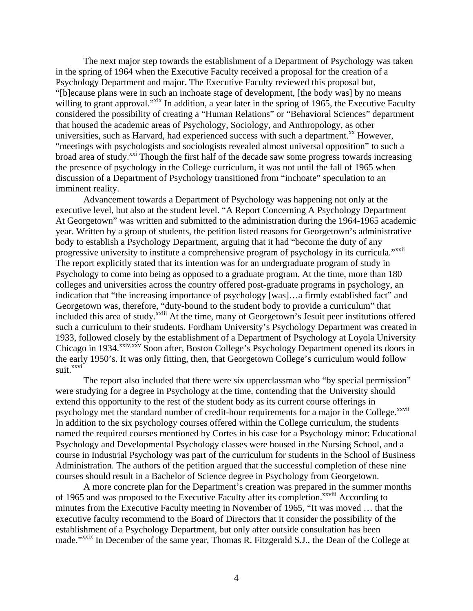The next major step towards the establishment of a Department of Psychology was taken in the spring of 1964 when the Executive Faculty received a proposal for the creation of a Psychology Department and major. The Executive Faculty reviewed this proposal but, "[b]ecause plans were in such an inchoate stage of development, [the body was] by no means willing to grant approval."<sup>xix</sup> In addition, a year later in the spring of 1965, the Executive Faculty considered the possibility of creating a "Human Relations" or "Behavioral Sciences" department that housed the academic areas of Psychology, Sociology, and Anthropology, as other universities, such as Harvard, had experienced success with such a department.<sup>xx</sup> However, "meetings with psychologists and sociologists revealed almost universal opposition" to such a broad area of study.<sup>xxi</sup> Though the first half of the decade saw some progress towards increasing the presence of psychology in the College curriculum, it was not until the fall of 1965 when discussion of a Department of Psychology transitioned from "inchoate" speculation to an imminent reality.

Advancement towards a Department of Psychology was happening not only at the executive level, but also at the student level. "A Report Concerning A Psychology Department At Georgetown" was written and submitted to the administration during the 1964-1965 academic year. Written by a group of students, the petition listed reasons for Georgetown's administrative body to establish a Psychology Department, arguing that it had "become the duty of any progressive university to institute a comprehensive program of psychology in its curricula."<sup>xxii</sup> The report explicitly stated that its intention was for an undergraduate program of study in Psychology to come into being as opposed to a graduate program. At the time, more than 180 colleges and universities across the country offered post-graduate programs in psychology, an indication that "the increasing importance of psychology [was]…a firmly established fact" and Georgetown was, therefore, "duty-bound to the student body to provide a curriculum" that included this area of study.<sup>xxiii</sup> At the time, many of Georgetown's Jesuit peer institutions offered such a curriculum to their students. Fordham University's Psychology Department was created in 1933, followed closely by the establishment of a Department of Psychology at Loyola University Chicago in 1934.<sup>xxiv,xxv</sup> Soon after, Boston College's Psychology Department opened its doors in the early 1950's. It was only fitting, then, that Georgetown College's curriculum would follow suit.<sup>xxvi</sup>

The report also included that there were six upperclassman who "by special permission" were studying for a degree in Psychology at the time, contending that the University should extend this opportunity to the rest of the student body as its current course offerings in psychology met the standard number of credit-hour requirements for a major in the College.<sup>xxvii</sup> In addition to the six psychology courses offered within the College curriculum, the students named the required courses mentioned by Cortes in his case for a Psychology minor: Educational Psychology and Developmental Psychology classes were housed in the Nursing School, and a course in Industrial Psychology was part of the curriculum for students in the School of Business Administration. The authors of the petition argued that the successful completion of these nine courses should result in a Bachelor of Science degree in Psychology from Georgetown.

A more concrete plan for the Department's creation was prepared in the summer months of 1965 and was proposed to the Executive Faculty after its completion.<sup>xxviii</sup> According to minutes from the Executive Faculty meeting in November of 1965, "It was moved … that the executive faculty recommend to the Board of Directors that it consider the possibility of the establishment of a Psychology Department, but only after outside consultation has been made."xxix In December of the same year, Thomas R. Fitzgerald S.J., the Dean of the College at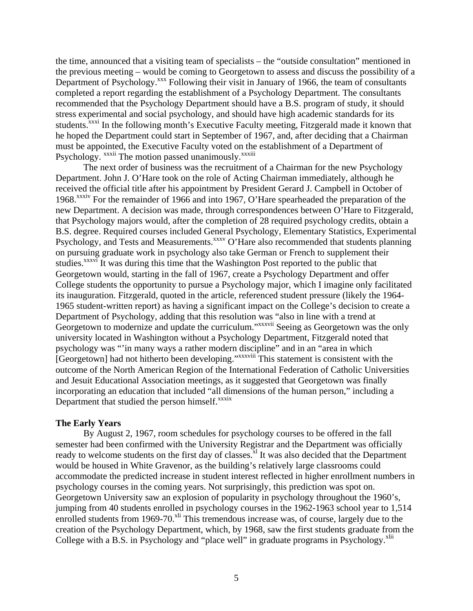the time, announced that a visiting team of specialists – the "outside consultation" mentioned in the previous meeting – would be coming to Georgetown to assess and discuss the possibility of a Department of Psychology.<sup>xxx</sup> Following their visit in January of 1966, the team of consultants completed a report regarding the establishment of a Psychology Department. The consultants recommended that the Psychology Department should have a B.S. program of study, it should stress experimental and social psychology, and should have high academic standards for its students.<sup>xxxi</sup> In the following month's Executive Faculty meeting, Fitzgerald made it known that he hoped the Department could start in September of 1967, and, after deciding that a Chairman must be appointed, the Executive Faculty voted on the establishment of a Department of Psychology. xxxii The motion passed unanimously.<sup>xxxiii</sup>

The next order of business was the recruitment of a Chairman for the new Psychology Department. John J. O'Hare took on the role of Acting Chairman immediately, although he received the official title after his appointment by President Gerard J. Campbell in October of 1968.xxxiv For the remainder of 1966 and into 1967, O'Hare spearheaded the preparation of the new Department. A decision was made, through correspondences between O'Hare to Fitzgerald, that Psychology majors would, after the completion of 28 required psychology credits, obtain a B.S. degree. Required courses included General Psychology, Elementary Statistics, Experimental Psychology, and Tests and Measurements.<sup>xxxv</sup> O'Hare also recommended that students planning on pursuing graduate work in psychology also take German or French to supplement their studies.<sup>xxxvi</sup> It was during this time that the Washington Post reported to the public that Georgetown would, starting in the fall of 1967, create a Psychology Department and offer College students the opportunity to pursue a Psychology major, which I imagine only facilitated its inauguration. Fitzgerald, quoted in the article, referenced student pressure (likely the 1964- 1965 student-written report) as having a significant impact on the College's decision to create a Department of Psychology, adding that this resolution was "also in line with a trend at Georgetown to modernize and update the curriculum."xxxvii Seeing as Georgetown was the only university located in Washington without a Psychology Department, Fitzgerald noted that psychology was "'in many ways a rather modern discipline" and in an "area in which [Georgetown] had not hitherto been developing."xxxviii This statement is consistent with the outcome of the North American Region of the International Federation of Catholic Universities and Jesuit Educational Association meetings, as it suggested that Georgetown was finally incorporating an education that included "all dimensions of the human person," including a Department that studied the person himself.<sup>xxxix</sup>

# **The Early Years**

By August 2, 1967, room schedules for psychology courses to be offered in the fall semester had been confirmed with the University Registrar and the Department was officially ready to welcome students on the first day of classes.<sup>xl</sup> It was also decided that the Department would be housed in White Gravenor, as the building's relatively large classrooms could accommodate the predicted increase in student interest reflected in higher enrollment numbers in psychology courses in the coming years. Not surprisingly, this prediction was spot on. Georgetown University saw an explosion of popularity in psychology throughout the 1960's, jumping from 40 students enrolled in psychology courses in the 1962-1963 school year to 1,514 enrolled students from 1969-70. $x$ li This tremendous increase was, of course, largely due to the creation of the Psychology Department, which, by 1968, saw the first students graduate from the College with a B.S. in Psychology and "place well" in graduate programs in Psychology.<sup>xlii</sup>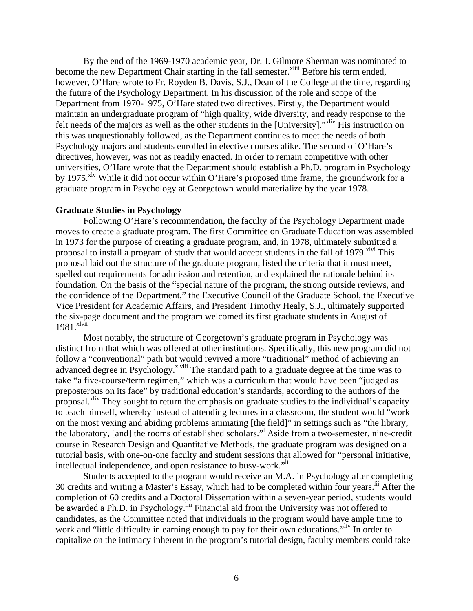By the end of the 1969-1970 academic year, Dr. J. Gilmore Sherman was nominated to become the new Department Chair starting in the fall semester.<sup>xliii</sup> Before his term ended, however, O'Hare wrote to Fr. Royden B. Davis, S.J., Dean of the College at the time, regarding the future of the Psychology Department. In his discussion of the role and scope of the Department from 1970-1975, O'Hare stated two directives. Firstly, the Department would maintain an undergraduate program of "high quality, wide diversity, and ready response to the felt needs of the majors as well as the other students in the [University]."<sup>xliv</sup> His instruction on this was unquestionably followed, as the Department continues to meet the needs of both Psychology majors and students enrolled in elective courses alike. The second of O'Hare's directives, however, was not as readily enacted. In order to remain competitive with other universities, O'Hare wrote that the Department should establish a Ph.D. program in Psychology by 1975.<sup>xlv</sup> While it did not occur within O'Hare's proposed time frame, the groundwork for a graduate program in Psychology at Georgetown would materialize by the year 1978.

### **Graduate Studies in Psychology**

Following O'Hare's recommendation, the faculty of the Psychology Department made moves to create a graduate program. The first Committee on Graduate Education was assembled in 1973 for the purpose of creating a graduate program, and, in 1978, ultimately submitted a proposal to install a program of study that would accept students in the fall of 1979.<sup>xlvi</sup> This proposal laid out the structure of the graduate program, listed the criteria that it must meet, spelled out requirements for admission and retention, and explained the rationale behind its foundation. On the basis of the "special nature of the program, the strong outside reviews, and the confidence of the Department," the Executive Council of the Graduate School, the Executive Vice President for Academic Affairs, and President Timothy Healy, S.J., ultimately supported the six-page document and the program welcomed its first graduate students in August of 1981.<sup>xlvii</sup>

Most notably, the structure of Georgetown's graduate program in Psychology was distinct from that which was offered at other institutions. Specifically, this new program did not follow a "conventional" path but would revived a more "traditional" method of achieving an advanced degree in Psychology.<sup>xlviii</sup> The standard path to a graduate degree at the time was to take "a five-course/term regimen," which was a curriculum that would have been "judged as preposterous on its face" by traditional education's standards, according to the authors of the proposal.<sup>xlix</sup> They sought to return the emphasis on graduate studies to the individual's capacity to teach himself, whereby instead of attending lectures in a classroom, the student would "work on the most vexing and abiding problems animating [the field]" in settings such as "the library, the laboratory, [and] the rooms of established scholars."l Aside from a two-semester, nine-credit course in Research Design and Quantitative Methods, the graduate program was designed on a tutorial basis, with one-on-one faculty and student sessions that allowed for "personal initiative, intellectual independence, and open resistance to busy-work."li

Students accepted to the program would receive an M.A. in Psychology after completing 30 credits and writing a Master's Essay, which had to be completed within four years.<sup>lii</sup> After the completion of 60 credits and a Doctoral Dissertation within a seven-year period, students would be awarded a Ph.D. in Psychology.<sup>liii</sup> Financial aid from the University was not offered to candidates, as the Committee noted that individuals in the program would have ample time to work and "little difficulty in earning enough to pay for their own educations."<sup>liv</sup> In order to capitalize on the intimacy inherent in the program's tutorial design, faculty members could take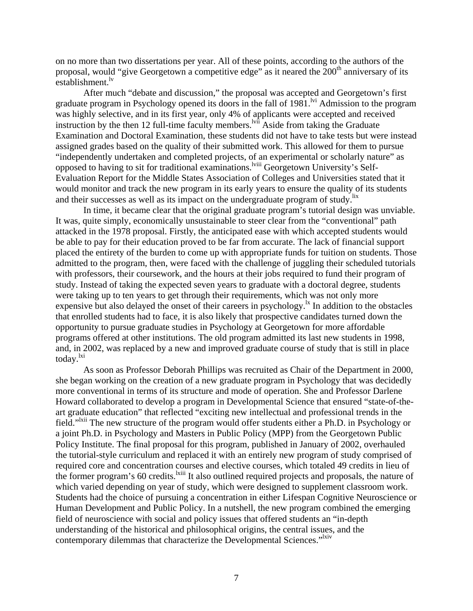on no more than two dissertations per year. All of these points, according to the authors of the proposal, would "give Georgetown a competitive edge" as it neared the 200<sup>th</sup> anniversary of its establishment.<sup>lv</sup>

After much "debate and discussion," the proposal was accepted and Georgetown's first graduate program in Psychology opened its doors in the fall of  $1981$ .<sup>lvi</sup> Admission to the program was highly selective, and in its first year, only 4% of applicants were accepted and received instruction by the then 12 full-time faculty members.<sup>Ivii</sup> Aside from taking the Graduate Examination and Doctoral Examination, these students did not have to take tests but were instead assigned grades based on the quality of their submitted work. This allowed for them to pursue "independently undertaken and completed projects, of an experimental or scholarly nature" as opposed to having to sit for traditional examinations.lviii Georgetown University's Self-Evaluation Report for the Middle States Association of Colleges and Universities stated that it would monitor and track the new program in its early years to ensure the quality of its students and their successes as well as its impact on the undergraduate program of study. I

In time, it became clear that the original graduate program's tutorial design was unviable. It was, quite simply, economically unsustainable to steer clear from the "conventional" path attacked in the 1978 proposal. Firstly, the anticipated ease with which accepted students would be able to pay for their education proved to be far from accurate. The lack of financial support placed the entirety of the burden to come up with appropriate funds for tuition on students. Those admitted to the program, then, were faced with the challenge of juggling their scheduled tutorials with professors, their coursework, and the hours at their jobs required to fund their program of study. Instead of taking the expected seven years to graduate with a doctoral degree, students were taking up to ten years to get through their requirements, which was not only more expensive but also delayed the onset of their careers in psychology.<sup>1x</sup> In addition to the obstacles that enrolled students had to face, it is also likely that prospective candidates turned down the opportunity to pursue graduate studies in Psychology at Georgetown for more affordable programs offered at other institutions. The old program admitted its last new students in 1998, and, in 2002, was replaced by a new and improved graduate course of study that is still in place today.<sup>lxi</sup>

As soon as Professor Deborah Phillips was recruited as Chair of the Department in 2000, she began working on the creation of a new graduate program in Psychology that was decidedly more conventional in terms of its structure and mode of operation. She and Professor Darlene Howard collaborated to develop a program in Developmental Science that ensured "state-of-theart graduate education" that reflected "exciting new intellectual and professional trends in the field."<sup>Ixii</sup> The new structure of the program would offer students either a Ph.D. in Psychology or a joint Ph.D. in Psychology and Masters in Public Policy (MPP) from the Georgetown Public Policy Institute. The final proposal for this program, published in January of 2002, overhauled the tutorial-style curriculum and replaced it with an entirely new program of study comprised of required core and concentration courses and elective courses, which totaled 49 credits in lieu of the former program's 60 credits.<sup>Ixiii</sup> It also outlined required projects and proposals, the nature of which varied depending on year of study, which were designed to supplement classroom work. Students had the choice of pursuing a concentration in either Lifespan Cognitive Neuroscience or Human Development and Public Policy. In a nutshell, the new program combined the emerging field of neuroscience with social and policy issues that offered students an "in-depth understanding of the historical and philosophical origins, the central issues, and the contemporary dilemmas that characterize the Developmental Sciences."<sup>Ixiv</sup>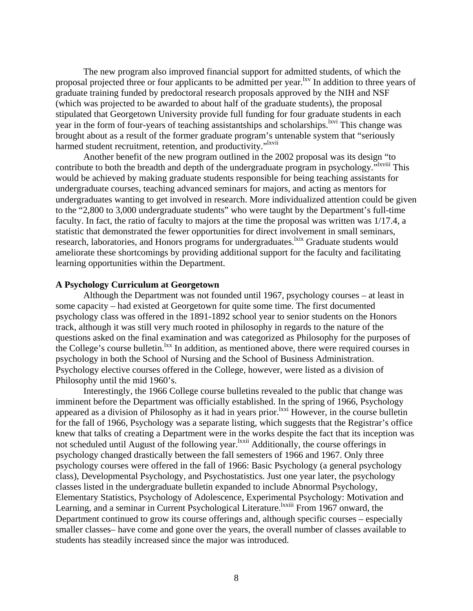The new program also improved financial support for admitted students, of which the proposal projected three or four applicants to be admitted per year.<sup>lxv</sup> In addition to three years of graduate training funded by predoctoral research proposals approved by the NIH and NSF (which was projected to be awarded to about half of the graduate students), the proposal stipulated that Georgetown University provide full funding for four graduate students in each year in the form of four-years of teaching assistantships and scholarships.<sup>1xvi</sup> This change was brought about as a result of the former graduate program's untenable system that "seriously harmed student recruitment, retention, and productivity."<sup>Ixvii</sup>

Another benefit of the new program outlined in the 2002 proposal was its design "to contribute to both the breadth and depth of the undergraduate program in psychology.<sup>"Ixviii</sup> This would be achieved by making graduate students responsible for being teaching assistants for undergraduate courses, teaching advanced seminars for majors, and acting as mentors for undergraduates wanting to get involved in research. More individualized attention could be given to the "2,800 to 3,000 undergraduate students" who were taught by the Department's full-time faculty. In fact, the ratio of faculty to majors at the time the proposal was written was 1/17.4, a statistic that demonstrated the fewer opportunities for direct involvement in small seminars, research, laboratories, and Honors programs for undergraduates.<sup>kix</sup> Graduate students would ameliorate these shortcomings by providing additional support for the faculty and facilitating learning opportunities within the Department.

# **A Psychology Curriculum at Georgetown**

Although the Department was not founded until 1967, psychology courses – at least in some capacity – had existed at Georgetown for quite some time. The first documented psychology class was offered in the 1891-1892 school year to senior students on the Honors track, although it was still very much rooted in philosophy in regards to the nature of the questions asked on the final examination and was categorized as Philosophy for the purposes of the College's course bulletin. $\frac{lxx}{l}$  In addition, as mentioned above, there were required courses in psychology in both the School of Nursing and the School of Business Administration. Psychology elective courses offered in the College, however, were listed as a division of Philosophy until the mid 1960's.

Interestingly, the 1966 College course bulletins revealed to the public that change was imminent before the Department was officially established. In the spring of 1966, Psychology appeared as a division of Philosophy as it had in years prior.<sup>1xxi</sup> However, in the course bulletin for the fall of 1966, Psychology was a separate listing, which suggests that the Registrar's office knew that talks of creating a Department were in the works despite the fact that its inception was not scheduled until August of the following year.<sup>lxxii</sup> Additionally, the course offerings in psychology changed drastically between the fall semesters of 1966 and 1967. Only three psychology courses were offered in the fall of 1966: Basic Psychology (a general psychology class), Developmental Psychology, and Psychostatistics. Just one year later, the psychology classes listed in the undergraduate bulletin expanded to include Abnormal Psychology, Elementary Statistics, Psychology of Adolescence, Experimental Psychology: Motivation and Learning, and a seminar in Current Psychological Literature.<sup>lxxiii</sup> From 1967 onward, the Department continued to grow its course offerings and, although specific courses – especially smaller classes– have come and gone over the years, the overall number of classes available to students has steadily increased since the major was introduced.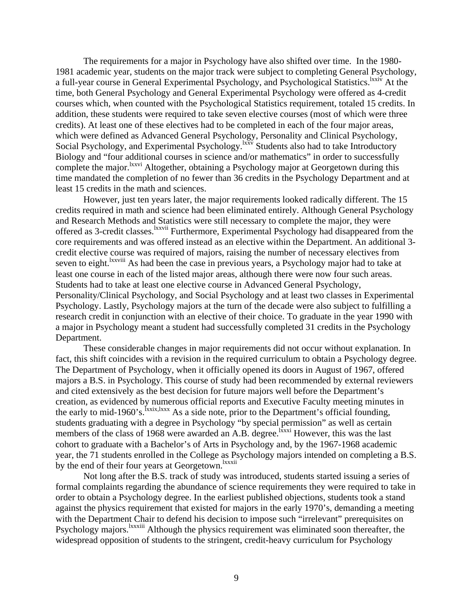The requirements for a major in Psychology have also shifted over time. In the 1980- 1981 academic year, students on the major track were subject to completing General Psychology, a full-year course in General Experimental Psychology, and Psychological Statistics.<sup>lxxiv</sup> At the time, both General Psychology and General Experimental Psychology were offered as 4-credit courses which, when counted with the Psychological Statistics requirement, totaled 15 credits. In addition, these students were required to take seven elective courses (most of which were three credits). At least one of these electives had to be completed in each of the four major areas, which were defined as Advanced General Psychology, Personality and Clinical Psychology, Social Psychology, and Experimental Psychology.<sup>lxxv</sup> Students also had to take Introductory Biology and "four additional courses in science and/or mathematics" in order to successfully complete the major.<sup>lxxvi</sup> Altogether, obtaining a Psychology major at Georgetown during this time mandated the completion of no fewer than 36 credits in the Psychology Department and at least 15 credits in the math and sciences.

However, just ten years later, the major requirements looked radically different. The 15 credits required in math and science had been eliminated entirely. Although General Psychology and Research Methods and Statistics were still necessary to complete the major, they were offered as 3-credit classes. <sup>Ixxvii</sup> Furthermore, Experimental Psychology had disappeared from the core requirements and was offered instead as an elective within the Department. An additional 3 credit elective course was required of majors, raising the number of necessary electives from seven to eight.<sup>Ixxviii</sup> As had been the case in previous years, a Psychology major had to take at least one course in each of the listed major areas, although there were now four such areas. Students had to take at least one elective course in Advanced General Psychology, Personality/Clinical Psychology, and Social Psychology and at least two classes in Experimental Psychology. Lastly, Psychology majors at the turn of the decade were also subject to fulfilling a research credit in conjunction with an elective of their choice. To graduate in the year 1990 with a major in Psychology meant a student had successfully completed 31 credits in the Psychology Department.

These considerable changes in major requirements did not occur without explanation. In fact, this shift coincides with a revision in the required curriculum to obtain a Psychology degree. The Department of Psychology, when it officially opened its doors in August of 1967, offered majors a B.S. in Psychology. This course of study had been recommended by external reviewers and cited extensively as the best decision for future majors well before the Department's creation, as evidenced by numerous official reports and Executive Faculty meeting minutes in the early to mid-1960's.<sup>Ixxix,lxxx</sup> As a side note, prior to the Department's official founding, students graduating with a degree in Psychology "by special permission" as well as certain members of the class of 1968 were awarded an A.B. degree.<sup>1xxxi</sup> However, this was the last cohort to graduate with a Bachelor's of Arts in Psychology and, by the 1967-1968 academic year, the 71 students enrolled in the College as Psychology majors intended on completing a B.S. by the end of their four years at Georgetown.<sup>Ixxxii</sup>

Not long after the B.S. track of study was introduced, students started issuing a series of formal complaints regarding the abundance of science requirements they were required to take in order to obtain a Psychology degree. In the earliest published objections, students took a stand against the physics requirement that existed for majors in the early 1970's, demanding a meeting with the Department Chair to defend his decision to impose such "irrelevant" prerequisites on Psychology majors.<sup>1xxxiii</sup> Although the physics requirement was eliminated soon thereafter, the widespread opposition of students to the stringent, credit-heavy curriculum for Psychology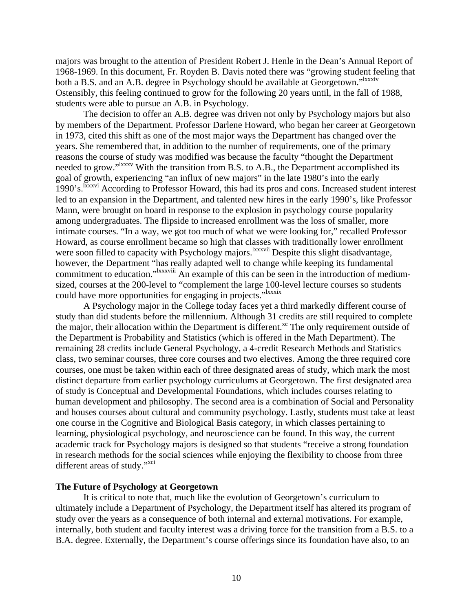majors was brought to the attention of President Robert J. Henle in the Dean's Annual Report of 1968-1969. In this document, Fr. Royden B. Davis noted there was "growing student feeling that both a B.S. and an A.B. degree in Psychology should be available at Georgetown."<sup>Ixxxiv</sup> Ostensibly, this feeling continued to grow for the following 20 years until, in the fall of 1988, students were able to pursue an A.B. in Psychology.

The decision to offer an A.B. degree was driven not only by Psychology majors but also by members of the Department. Professor Darlene Howard, who began her career at Georgetown in 1973, cited this shift as one of the most major ways the Department has changed over the years. She remembered that, in addition to the number of requirements, one of the primary reasons the course of study was modified was because the faculty "thought the Department needed to grow."<sup>Ixxxv</sup> With the transition from B.S. to A.B., the Department accomplished its goal of growth, experiencing "an influx of new majors" in the late 1980's into the early 1990's.<sup>Ixxxvi</sup> According to Professor Howard, this had its pros and cons. Increased student interest led to an expansion in the Department, and talented new hires in the early 1990's, like Professor Mann, were brought on board in response to the explosion in psychology course popularity among undergraduates. The flipside to increased enrollment was the loss of smaller, more intimate courses. "In a way, we got too much of what we were looking for," recalled Professor Howard, as course enrollment became so high that classes with traditionally lower enrollment were soon filled to capacity with Psychology majors.<sup>lxxxvii</sup> Despite this slight disadvantage, however, the Department "has really adapted well to change while keeping its fundamental commitment to education."<sup>Ixxxviii</sup> An example of this can be seen in the introduction of mediumsized, courses at the 200-level to "complement the large 100-level lecture courses so students could have more opportunities for engaging in projects."<sup>Ixxxix</sup>

A Psychology major in the College today faces yet a third markedly different course of study than did students before the millennium. Although 31 credits are still required to complete the major, their allocation within the Department is different.<sup> $xc$ </sup> The only requirement outside of the Department is Probability and Statistics (which is offered in the Math Department). The remaining 28 credits include General Psychology, a 4-credit Research Methods and Statistics class, two seminar courses, three core courses and two electives. Among the three required core courses, one must be taken within each of three designated areas of study, which mark the most distinct departure from earlier psychology curriculums at Georgetown. The first designated area of study is Conceptual and Developmental Foundations, which includes courses relating to human development and philosophy. The second area is a combination of Social and Personality and houses courses about cultural and community psychology. Lastly, students must take at least one course in the Cognitive and Biological Basis category, in which classes pertaining to learning, physiological psychology, and neuroscience can be found. In this way, the current academic track for Psychology majors is designed so that students "receive a strong foundation in research methods for the social sciences while enjoying the flexibility to choose from three different areas of study."<sup>xci</sup>

### **The Future of Psychology at Georgetown**

It is critical to note that, much like the evolution of Georgetown's curriculum to ultimately include a Department of Psychology, the Department itself has altered its program of study over the years as a consequence of both internal and external motivations. For example, internally, both student and faculty interest was a driving force for the transition from a B.S. to a B.A. degree. Externally, the Department's course offerings since its foundation have also, to an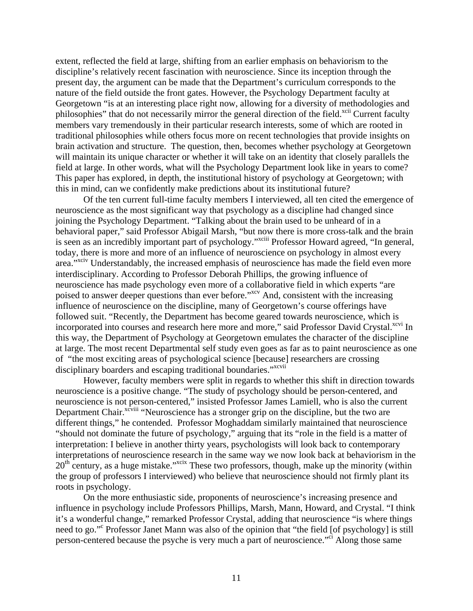extent, reflected the field at large, shifting from an earlier emphasis on behaviorism to the discipline's relatively recent fascination with neuroscience. Since its inception through the present day, the argument can be made that the Department's curriculum corresponds to the nature of the field outside the front gates. However, the Psychology Department faculty at Georgetown "is at an interesting place right now, allowing for a diversity of methodologies and philosophies" that do not necessarily mirror the general direction of the field.<sup>xcii</sup> Current faculty members vary tremendously in their particular research interests, some of which are rooted in traditional philosophies while others focus more on recent technologies that provide insights on brain activation and structure. The question, then, becomes whether psychology at Georgetown will maintain its unique character or whether it will take on an identity that closely parallels the field at large. In other words, what will the Psychology Department look like in years to come? This paper has explored, in depth, the institutional history of psychology at Georgetown; with this in mind, can we confidently make predictions about its institutional future?

Of the ten current full-time faculty members I interviewed, all ten cited the emergence of neuroscience as the most significant way that psychology as a discipline had changed since joining the Psychology Department. "Talking about the brain used to be unheard of in a behavioral paper," said Professor Abigail Marsh, "but now there is more cross-talk and the brain is seen as an incredibly important part of psychology."<sup>xciii</sup> Professor Howard agreed, "In general, today, there is more and more of an influence of neuroscience on psychology in almost every area."xciv Understandably, the increased emphasis of neuroscience has made the field even more interdisciplinary. According to Professor Deborah Phillips, the growing influence of neuroscience has made psychology even more of a collaborative field in which experts "are poised to answer deeper questions than ever before."<sup>xcv</sup> And, consistent with the increasing influence of neuroscience on the discipline, many of Georgetown's course offerings have followed suit. "Recently, the Department has become geared towards neuroscience, which is incorporated into courses and research here more and more," said Professor David Crystal.<sup>xcvi</sup> In this way, the Department of Psychology at Georgetown emulates the character of the discipline at large. The most recent Departmental self study even goes as far as to paint neuroscience as one of "the most exciting areas of psychological science [because] researchers are crossing disciplinary boarders and escaping traditional boundaries."<sup>xcvii</sup>

However, faculty members were split in regards to whether this shift in direction towards neuroscience is a positive change. "The study of psychology should be person-centered, and neuroscience is not person-centered," insisted Professor James Lamiell, who is also the current Department Chair.<sup>xcviii</sup> "Neuroscience has a stronger grip on the discipline, but the two are different things," he contended. Professor Moghaddam similarly maintained that neuroscience "should not dominate the future of psychology," arguing that its "role in the field is a matter of interpretation: I believe in another thirty years, psychologists will look back to contemporary interpretations of neuroscience research in the same way we now look back at behaviorism in the  $20<sup>th</sup>$  century, as a huge mistake."<sup>xcix</sup> These two professors, though, make up the minority (within the group of professors I interviewed) who believe that neuroscience should not firmly plant its roots in psychology.

On the more enthusiastic side, proponents of neuroscience's increasing presence and influence in psychology include Professors Phillips, Marsh, Mann, Howard, and Crystal. "I think it's a wonderful change," remarked Professor Crystal, adding that neuroscience "is where things need to go." Professor Janet Mann was also of the opinion that "the field [of psychology] is still person-centered because the psyche is very much a part of neuroscience."ci Along those same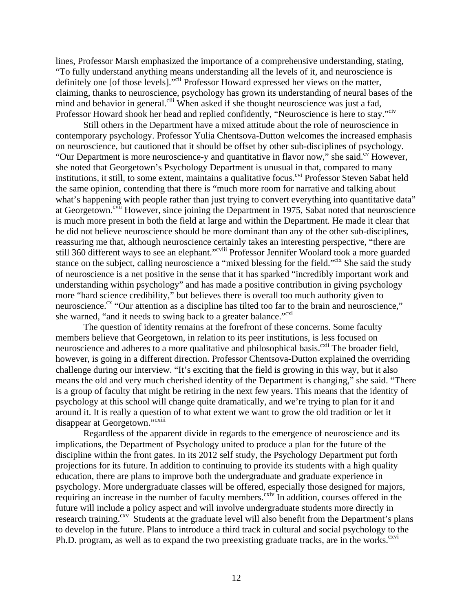lines, Professor Marsh emphasized the importance of a comprehensive understanding, stating, "To fully understand anything means understanding all the levels of it, and neuroscience is definitely one [of those levels]."<sup>cii</sup> Professor Howard expressed her views on the matter, claiming, thanks to neuroscience, psychology has grown its understanding of neural bases of the mind and behavior in general.<sup>ciii</sup> When asked if she thought neuroscience was just a fad, Professor Howard shook her head and replied confidently, "Neuroscience is here to stay."<sup>civ</sup>

Still others in the Department have a mixed attitude about the role of neuroscience in contemporary psychology. Professor Yulia Chentsova-Dutton welcomes the increased emphasis on neuroscience, but cautioned that it should be offset by other sub-disciplines of psychology. "Our Department is more neuroscience-y and quantitative in flavor now," she said.<sup>cv</sup> However, she noted that Georgetown's Psychology Department is unusual in that, compared to many institutions, it still, to some extent, maintains a qualitative focus.<sup>cvi</sup> Professor Steven Sabat held the same opinion, contending that there is "much more room for narrative and talking about what's happening with people rather than just trying to convert everything into quantitative data" at Georgetown.<sup>cvii</sup> However, since joining the Department in 1975, Sabat noted that neuroscience is much more present in both the field at large and within the Department. He made it clear that he did not believe neuroscience should be more dominant than any of the other sub-disciplines, reassuring me that, although neuroscience certainly takes an interesting perspective, "there are still 360 different ways to see an elephant."<sup>cviii</sup> Professor Jennifer Woolard took a more guarded stance on the subject, calling neuroscience a "mixed blessing for the field."<sup>cix</sup> She said the study of neuroscience is a net positive in the sense that it has sparked "incredibly important work and understanding within psychology" and has made a positive contribution in giving psychology more "hard science credibility," but believes there is overall too much authority given to neuroscience.<sup>cx</sup> "Our attention as a discipline has tilted too far to the brain and neuroscience," she warned, "and it needs to swing back to a greater balance."<sup>cxi</sup>

The question of identity remains at the forefront of these concerns. Some faculty members believe that Georgetown, in relation to its peer institutions, is less focused on neuroscience and adheres to a more qualitative and philosophical basis.<sup>cxii</sup> The broader field, however, is going in a different direction. Professor Chentsova-Dutton explained the overriding challenge during our interview. "It's exciting that the field is growing in this way, but it also means the old and very much cherished identity of the Department is changing," she said. "There is a group of faculty that might be retiring in the next few years. This means that the identity of psychology at this school will change quite dramatically, and we're trying to plan for it and around it. It is really a question of to what extent we want to grow the old tradition or let it disappear at Georgetown."<sup>cxiii</sup>

Regardless of the apparent divide in regards to the emergence of neuroscience and its implications, the Department of Psychology united to produce a plan for the future of the discipline within the front gates. In its 2012 self study, the Psychology Department put forth projections for its future. In addition to continuing to provide its students with a high quality education, there are plans to improve both the undergraduate and graduate experience in psychology. More undergraduate classes will be offered, especially those designed for majors, requiring an increase in the number of faculty members.<sup>cxiv</sup> In addition, courses offered in the future will include a policy aspect and will involve undergraduate students more directly in research training.<sup>cxv</sup> Students at the graduate level will also benefit from the Department's plans to develop in the future. Plans to introduce a third track in cultural and social psychology to the Ph.D. program, as well as to expand the two preexisting graduate tracks, are in the works.<sup>cxvi</sup>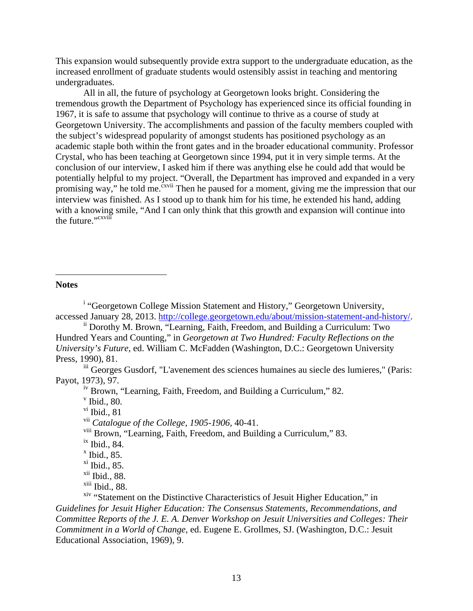This expansion would subsequently provide extra support to the undergraduate education, as the increased enrollment of graduate students would ostensibly assist in teaching and mentoring undergraduates.

All in all, the future of psychology at Georgetown looks bright. Considering the tremendous growth the Department of Psychology has experienced since its official founding in 1967, it is safe to assume that psychology will continue to thrive as a course of study at Georgetown University. The accomplishments and passion of the faculty members coupled with the subject's widespread popularity of amongst students has positioned psychology as an academic staple both within the front gates and in the broader educational community. Professor Crystal, who has been teaching at Georgetown since 1994, put it in very simple terms. At the conclusion of our interview, I asked him if there was anything else he could add that would be potentially helpful to my project. "Overall, the Department has improved and expanded in a very promising way," he told me.<sup> $\frac{c}{x}$ vii Then he paused for a moment, giving me the impression that our</sup> interview was finished. As I stood up to thank him for his time, he extended his hand, adding with a knowing smile, "And I can only think that this growth and expansion will continue into the future."<sup>cxviii</sup>

# **Notes**

 $\overline{a}$ 

<sup>i</sup> "Georgetown College Mission Statement and History," Georgetown University, accessed January 28, 2013. http://college.georgetown.edu/about/mission-statement-and-history/.<br>
<sup>ii</sup> Dorothy M. Brown, "Learning, Faith, Freedom, and Building a Curriculum: Two

Hundred Years and Counting," in *Georgetown at Two Hundred: Faculty Reflections on the University's Future*, ed. William C. McFadden (Washington, D.C.: Georgetown University Press, 1990), 81.

iii Georges Gusdorf, "L'avenement des sciences humaines au siecle des lumieres," (Paris: Payot, 1973), 97.

<sup>iv</sup> Brown, "Learning, Faith, Freedom, and Building a Curriculum," 82.

 $\rm v$  Ibid., 80.

 $v$ <sup>i</sup> Ibid., 81

vii *Catalogue of the College, 1905-1906,* 40-41.

viii Brown, "Learning, Faith, Freedom, and Building a Curriculum," 83.

 $\frac{ix}{b}$  Ibid., 84.

 $x$  Ibid., 85.

 $x$ i Ibid., 85.

 $xii$  Ibid., 88.

xiii Ibid., 88.

<sup>xiv</sup> "Statement on the Distinctive Characteristics of Jesuit Higher Education," in *Guidelines for Jesuit Higher Education: The Consensus Statements, Recommendations, and Committee Reports of the J. E. A. Denver Workshop on Jesuit Universities and Colleges: Their Commitment in a World of Change,* ed. Eugene E. Grollmes, SJ. (Washington, D.C.: Jesuit Educational Association, 1969), 9.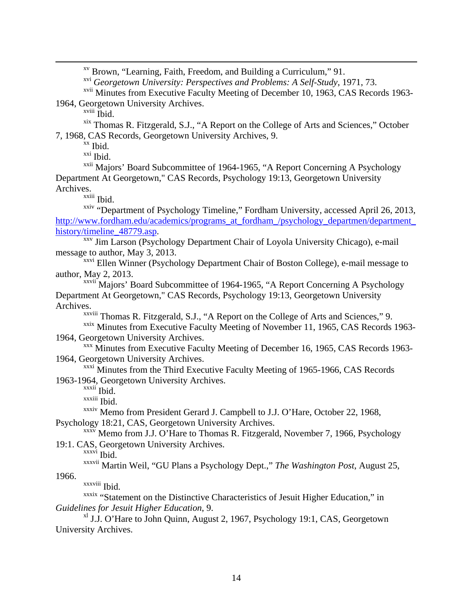xv Brown, "Learning, Faith, Freedom, and Building a Curriculum," 91.

xvi *Georgetown University: Perspectives and Problems: A Self-Study*, 1971, 73.

xvii Minutes from Executive Faculty Meeting of December 10, 1963, CAS Records 1963- 1964, Georgetown University Archives.

 $x$ <sup>viii</sup> Ibid.

xix Thomas R. Fitzgerald, S.J., "A Report on the College of Arts and Sciences," October 7, 1968, CAS Records, Georgetown University Archives, 9.<br><sup>xx</sup> Ibid.

xxi Ibid.

xxii Majors' Board Subcommittee of 1964-1965, "A Report Concerning A Psychology Department At Georgetown," CAS Records, Psychology 19:13, Georgetown University Archives.

xxiii Ibid.

xxiv "Department of Psychology Timeline," Fordham University, accessed April 26, 2013, http://www.fordham.edu/academics/programs\_at\_fordham\_/psychology\_departmen/department\_

history/timeline\_48779.asp. xxv Jim Larson (Psychology Department Chair of Loyola University Chicago), e-mail message to author, May 3, 2013.

xxvi Ellen Winner (Psychology Department Chair of Boston College), e-mail message to author, May 2, 2013.

<sup>xxvii</sup> Majors' Board Subcommittee of 1964-1965, "A Report Concerning A Psychology Department At Georgetown," CAS Records, Psychology 19:13, Georgetown University Archives.

xxviii Thomas R. Fitzgerald, S.J., "A Report on the College of Arts and Sciences," 9.

xxix Minutes from Executive Faculty Meeting of November 11, 1965, CAS Records 1963-1964, Georgetown University Archives.<br><sup>xxx</sup> Minutes from Executive Faculty Meeting of December 16, 1965, CAS Records 1963-

1964, Georgetown University Archives.

xxxi Minutes from the Third Executive Faculty Meeting of 1965-1966, CAS Records

1963-1964, Georgetown University Archives.

xxxii Ibid.

xxxiii Ibid.

xxxiv Memo from President Gerard J. Campbell to J.J. O'Hare, October 22, 1968,

Psychology 18:21, CAS, Georgetown University Archives.<br><sup>xxxv</sup> Memo from J.J. O'Hare to Thomas R. Fitzgerald, November 7, 1966, Psychology 19:1. CAS, Georgetown University Archives.

xxxvi Ibid.

xxxvii Martin Weil, "GU Plans a Psychology Dept.," *The Washington Post*, August 25,

1966.

xxxviii Ibid.

xxxix "Statement on the Distinctive Characteristics of Jesuit Higher Education," in *Guidelines for Jesuit Higher Education*, 9.

xl J.J. O'Hare to John Quinn, August 2, 1967, Psychology 19:1, CAS, Georgetown University Archives.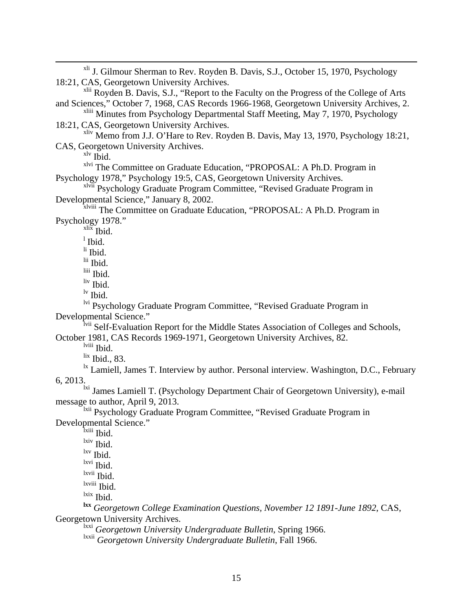<sup>xli</sup> J. Gilmour Sherman to Rev. Royden B. Davis, S.J., October 15, 1970, Psychology 18:21, CAS, Georgetown University Archives. <sup>xlii</sup> Royden B. Davis, S.J., "Report to the Faculty on the Progress of the College of Arts and Sciences," October 7, 1968, CAS Records 1966-1968, Georgetown University Archives, 2. xliii Minutes from Psychology Departmental Staff Meeting, May 7, 1970, Psychology 18:21, CAS, Georgetown University Archives. xliv Memo from J.J. O'Hare to Rev. Royden B. Davis, May 13, 1970, Psychology 18:21, CAS, Georgetown University Archives.  $x^{\text{iv}}$  Ibid. xlvi The Committee on Graduate Education, "PROPOSAL: A Ph.D. Program in Psychology 1978," Psychology 19:5, CAS, Georgetown University Archives. xlvii Psychology Graduate Program Committee, "Revised Graduate Program in Developmental Science," January 8, 2002. x<sup>1viii</sup> The Committee on Graduate Education, "PROPOSAL: A Ph.D. Program in Psychology 1978."  $x$ lix Ibid.  $<sup>1</sup>$  Ibid.</sup>  $\overline{\text{li}}$  Ibid. lii Ibid. liii Ibid. liv Ibid.  $\frac{1}{v}$  Ibid. lvi Psychology Graduate Program Committee, "Revised Graduate Program in Developmental Science." lvii Self-Evaluation Report for the Middle States Association of Colleges and Schools, October 1981, CAS Records 1969-1971, Georgetown University Archives, 82. lviii Ibid. lix Ibid., 83.  $\frac{dx}{dx}$  Lamiell, James T. Interview by author. Personal interview. Washington, D.C., February 6, 2013. <sup>1xi</sup> James Lamiell T. (Psychology Department Chair of Georgetown University), e-mail

message to author, April 9, 2013.

<sup>1xii</sup> Psychology Graduate Program Committee, "Revised Graduate Program in Developmental Science."

<sup>lxiii</sup> Ibid.

lxiv Ibid.

 $\frac{lxv}{l}$  Ibid.

lxvi Ibid.

lxvii Ibid.

lxviii Ibid.

lxix Ibid.

**lxx** *Georgetown College Examination Questions, November 12 1891-June 1892*, CAS, Georgetown University Archives.

lxxi *Georgetown University Undergraduate Bulletin*, Spring 1966.

lxxii *Georgetown University Undergraduate Bulletin*, Fall 1966.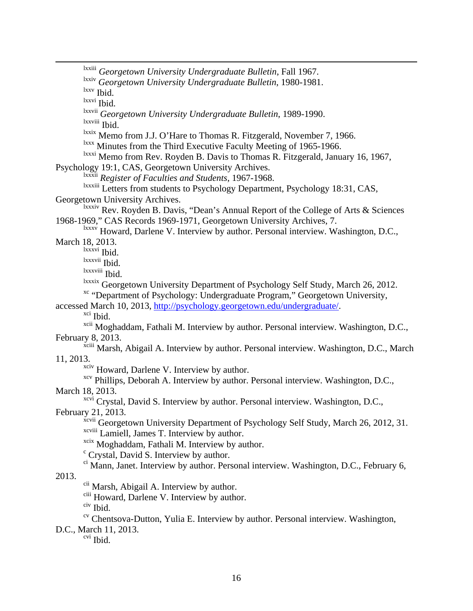lxxiii *Georgetown University Undergraduate Bulletin*, Fall 1967. lxxiv *Georgetown University Undergraduate Bulletin*, 1980-1981. lxxv Ibid. lxxvi Ibid. lxxvii *Georgetown University Undergraduate Bulletin*, 1989-1990. lxxviii Ibid. lxxix Memo from J.J. O'Hare to Thomas R. Fitzgerald, November 7, 1966. <sup>lxxx</sup> Minutes from the Third Executive Faculty Meeting of 1965-1966. lxxxi Memo from Rev. Royden B. Davis to Thomas R. Fitzgerald, January 16, 1967, Psychology 19:1, CAS, Georgetown University Archives. lxxxii *Register of Faculties and Students*, 1967-1968. lxxxiii Letters from students to Psychology Department, Psychology 18:31, CAS, Georgetown University Archives. lxxxiv Rev. Royden B. Davis, "Dean's Annual Report of the College of Arts & Sciences 1968-1969," CAS Records 1969-1971, Georgetown University Archives, 7. lxxxv Howard, Darlene V. Interview by author. Personal interview. Washington, D.C., March 18, 2013. lxxxvi Ibid. lxxxvii Ibid. lxxxviii Ibid. <sup>lxxxix</sup> Georgetown University Department of Psychology Self Study, March 26, 2012.<br><sup>xc</sup> "Department of Psychology: Undergraduate Program," Georgetown University, accessed March 10, 2013, http://psychology.georgetown.edu/undergraduate/.<br>xci Ibid. xcii Moghaddam, Fathali M. Interview by author. Personal interview. Washington, D.C., February 8, 2013. <sup>xciii</sup> Marsh, Abigail A. Interview by author. Personal interview. Washington, D.C., March 11, 2013. xciv Howard, Darlene V. Interview by author.<br>xcv Phillips, Deborah A. Interview by author. Personal interview. Washington, D.C., March 18, 2013. <sup>xcvi</sup> Crystal, David S. Interview by author. Personal interview. Washington, D.C., February 21, 2013. xcvii Georgetown University Department of Psychology Self Study, March 26, 2012, 31. xcviii Lamiell, James T. Interview by author. <sup>xcix</sup> Moghaddam, Fathali M. Interview by author. <sup>c</sup> Crystal, David S. Interview by author. ci Mann, Janet. Interview by author. Personal interview. Washington, D.C., February 6, 2013. cii Marsh, Abigail A. Interview by author. <sup>ciii</sup> Howard, Darlene V. Interview by author.<br><sup>civ</sup> Ibid. <sup>cv</sup> Chentsova-Dutton, Yulia E. Interview by author. Personal interview. Washington, D.C., March 11, 2013. cvi Ibid.